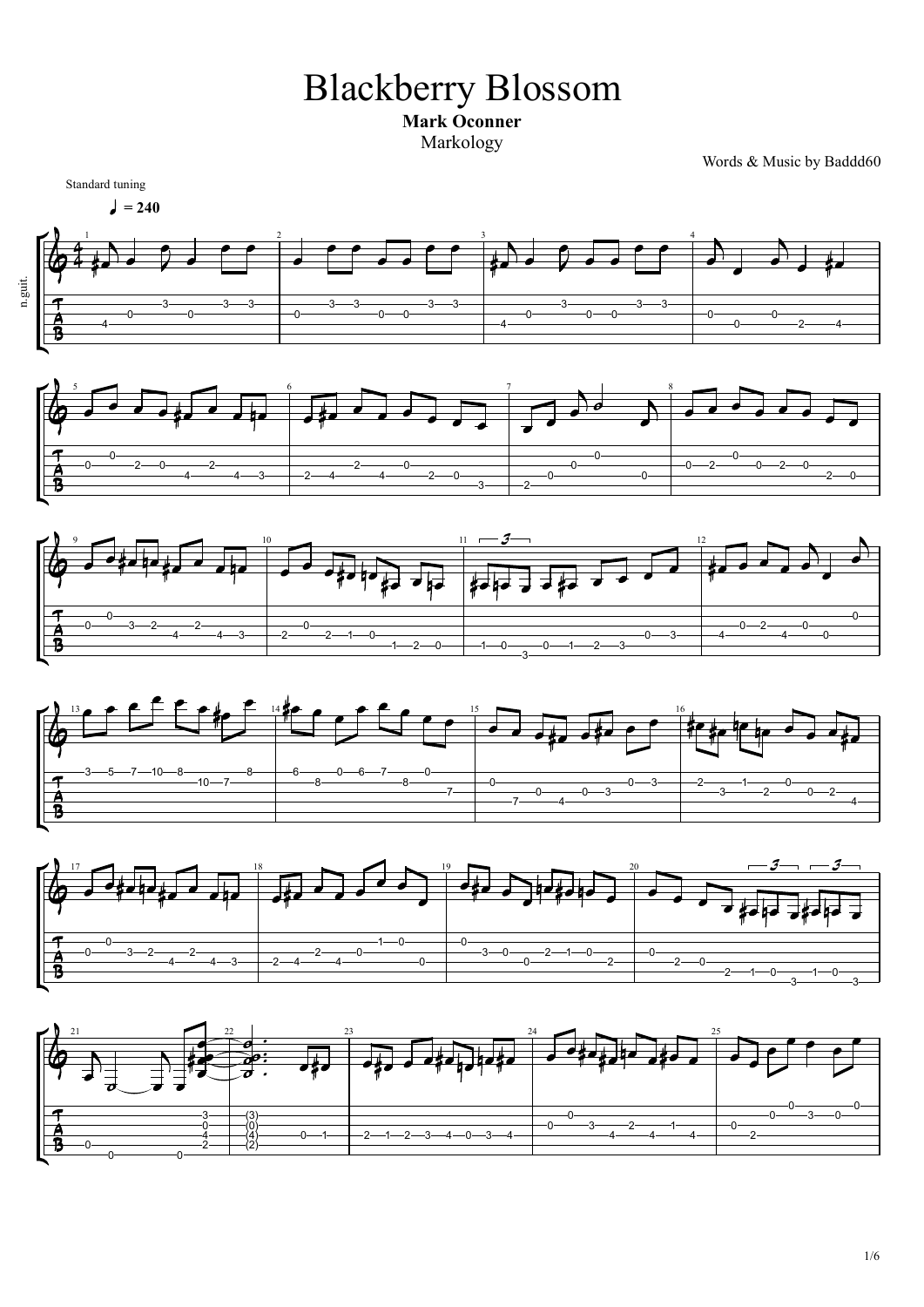Blackberry Blossom Mark Oconner Markology

Words & Music by Baddd60

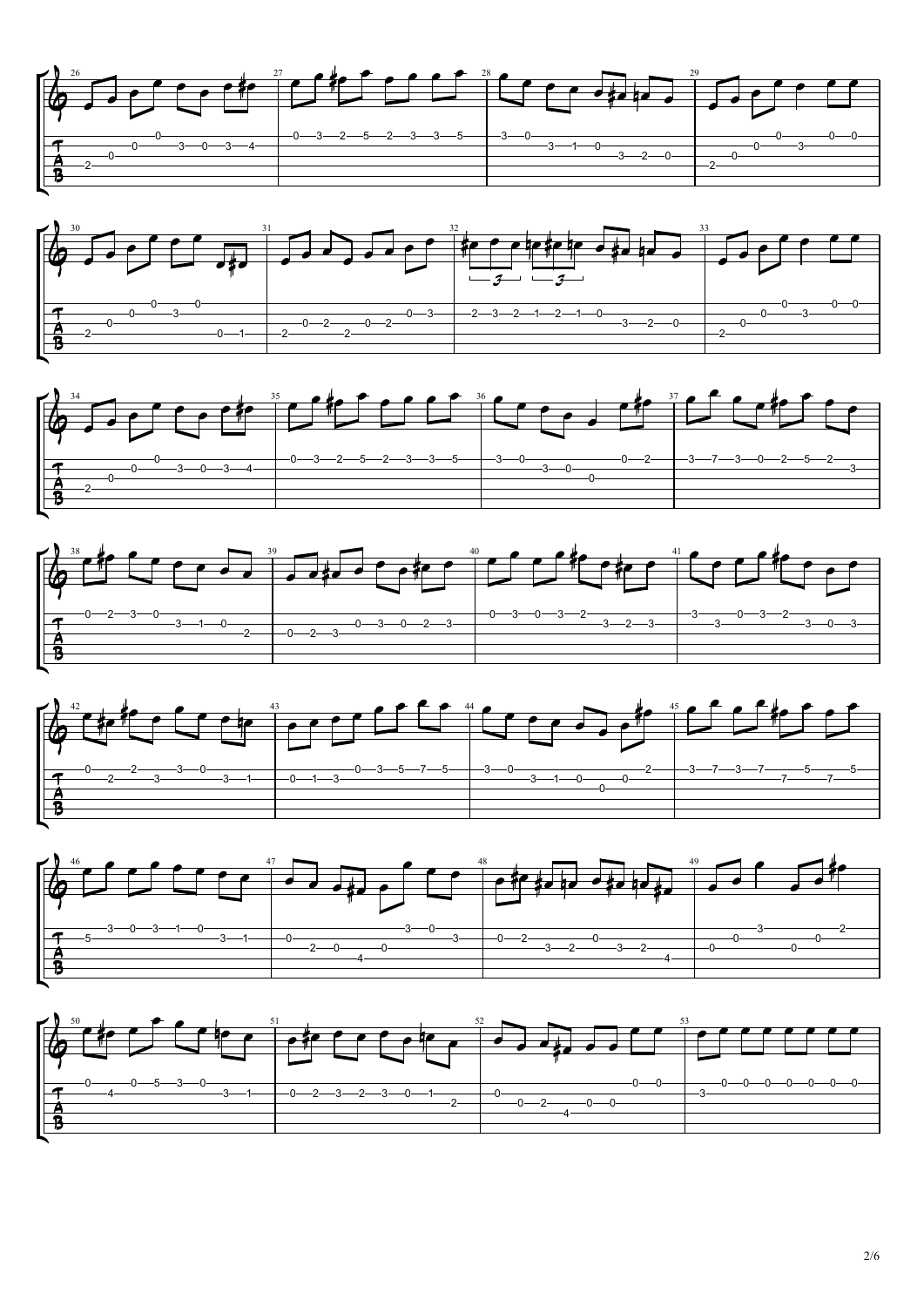











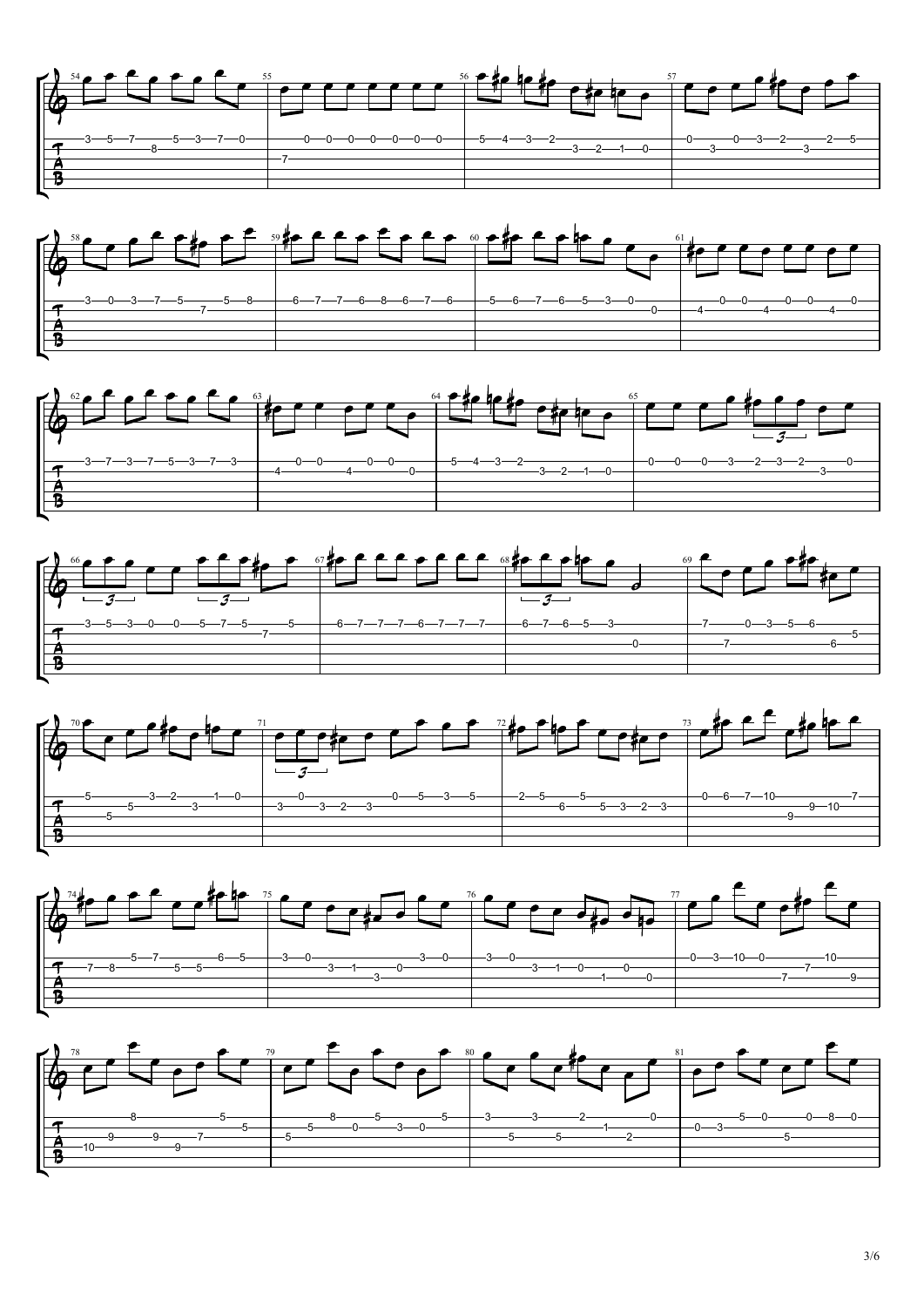











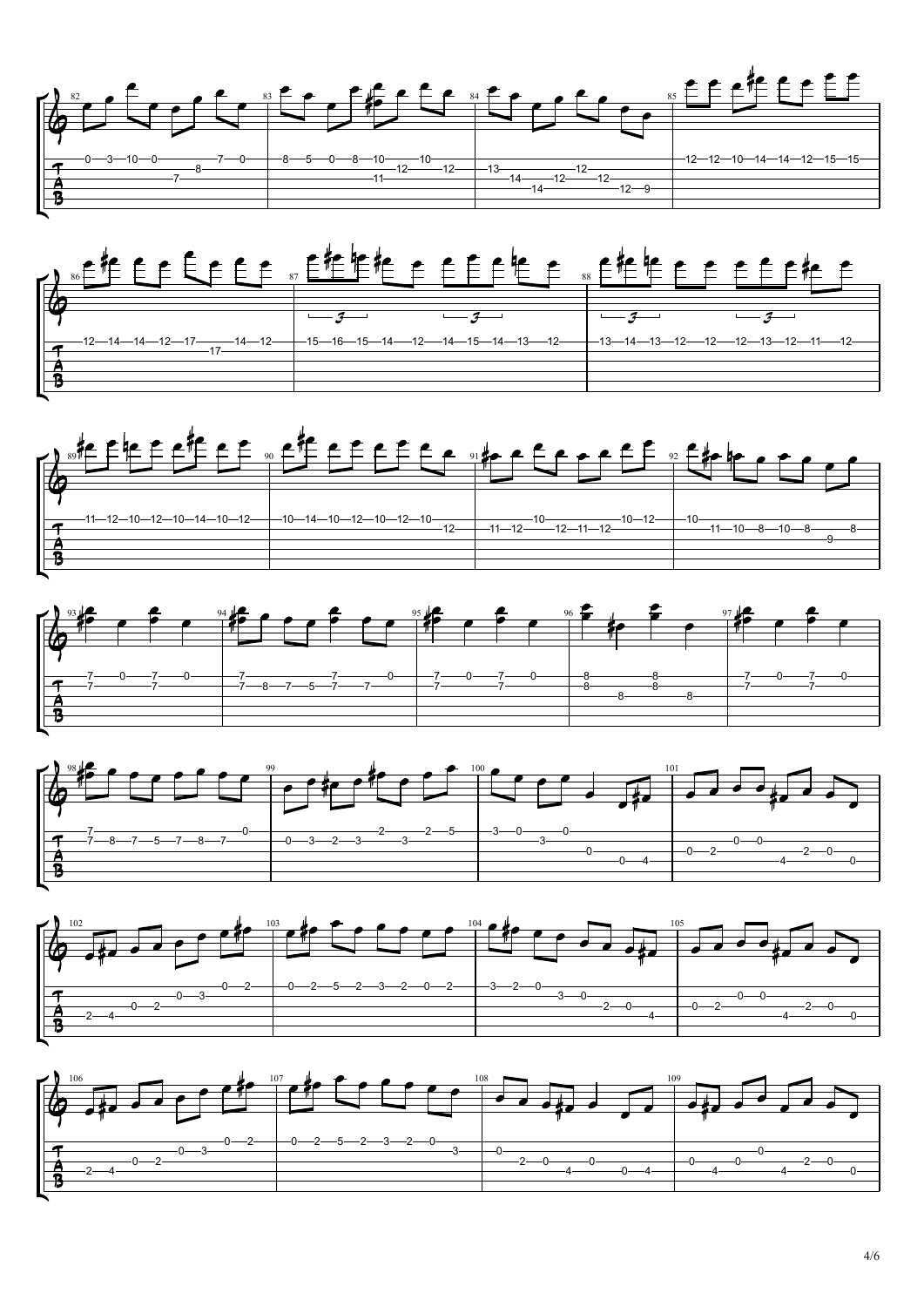





![](_page_3_Figure_3.jpeg)

![](_page_3_Figure_4.jpeg)

![](_page_3_Figure_5.jpeg)

![](_page_3_Figure_6.jpeg)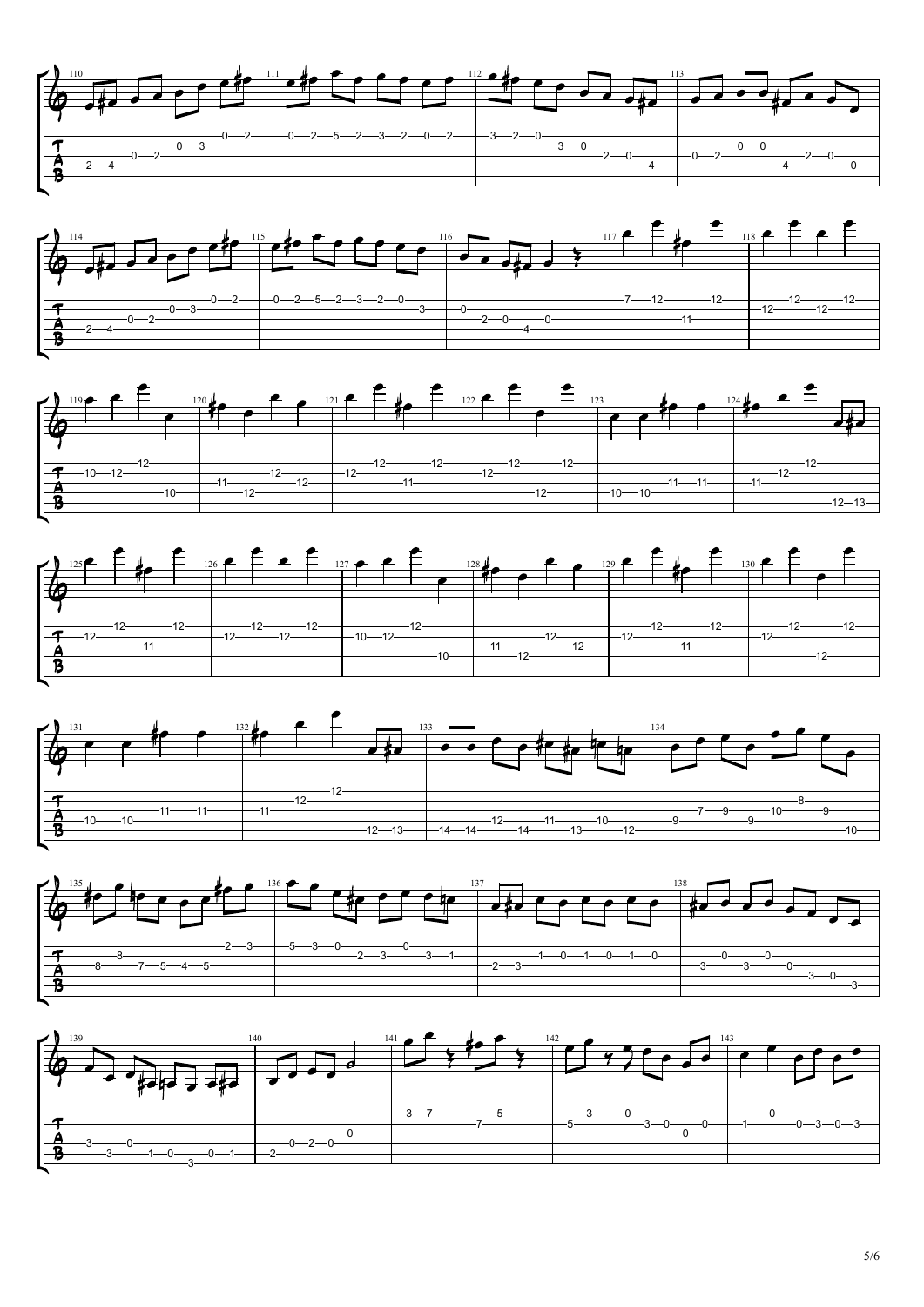![](_page_4_Figure_0.jpeg)

![](_page_4_Figure_1.jpeg)

![](_page_4_Figure_2.jpeg)

![](_page_4_Figure_3.jpeg)

![](_page_4_Figure_4.jpeg)

![](_page_4_Figure_5.jpeg)

![](_page_4_Figure_6.jpeg)